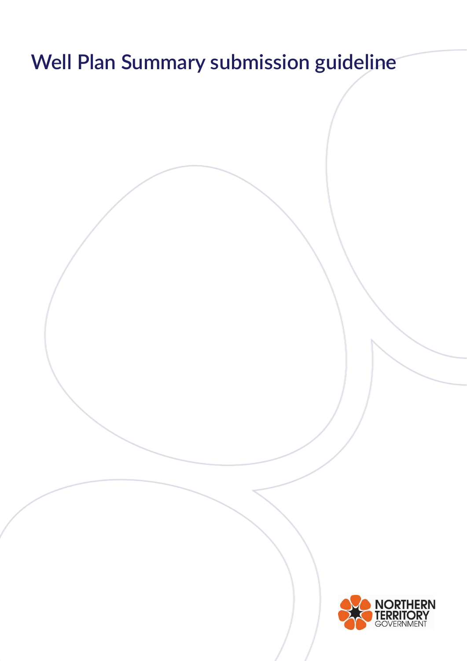# **Well Plan Summary submission guideline**

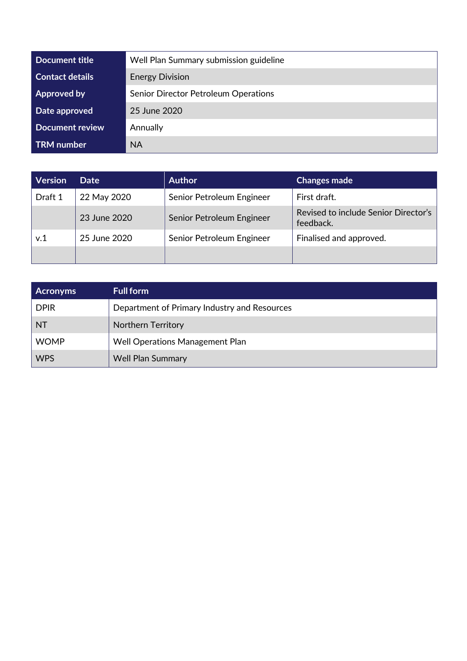| Document title         | Well Plan Summary submission guideline |
|------------------------|----------------------------------------|
| <b>Contact details</b> | <b>Energy Division</b>                 |
| <b>Approved by</b>     | Senior Director Petroleum Operations   |
| Date approved          | 25 June 2020                           |
| <b>Document review</b> | Annually                               |
| <b>TRM</b> number      | <b>NA</b>                              |

| <b>Version</b> | <b>Date</b>  | <b>Author</b>             | <b>Changes made</b>                               |
|----------------|--------------|---------------------------|---------------------------------------------------|
| Draft 1        | 22 May 2020  | Senior Petroleum Engineer | First draft.                                      |
|                | 23 June 2020 | Senior Petroleum Engineer | Revised to include Senior Director's<br>feedback. |
| v.1            | 25 June 2020 | Senior Petroleum Engineer | Finalised and approved.                           |
|                |              |                           |                                                   |

| <b>Acronyms</b> | <b>Full form</b>                             |
|-----------------|----------------------------------------------|
| <b>DPIR</b>     | Department of Primary Industry and Resources |
| <b>NT</b>       | <b>Northern Territory</b>                    |
| <b>WOMP</b>     | Well Operations Management Plan              |
| <b>WPS</b>      | <b>Well Plan Summary</b>                     |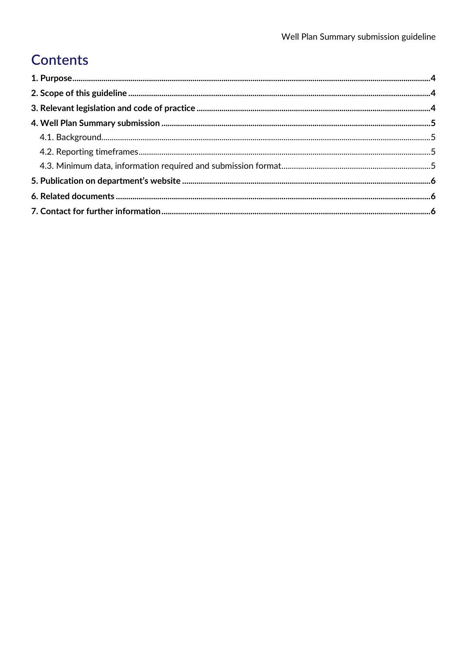# Contents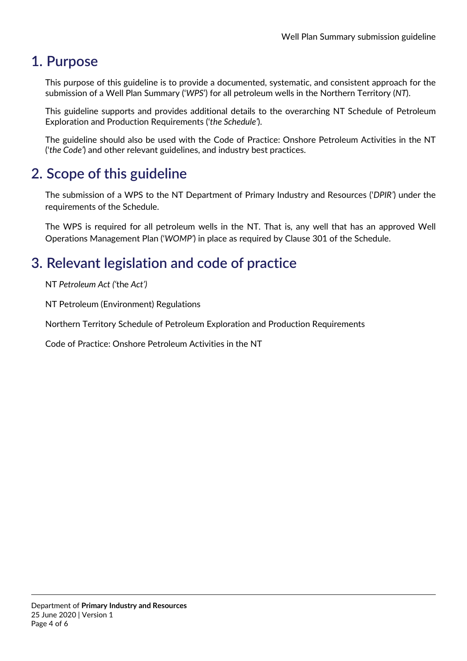# <span id="page-3-0"></span>**1. Purpose**

This purpose of this guideline is to provide a documented, systematic, and consistent approach for the submission of a Well Plan Summary ('*WPS*') for all petroleum wells in the Northern Territory (*NT*).

This guideline supports and provides additional details to the overarching NT Schedule of Petroleum Exploration and Production Requirements ('*the Schedule'*).

The guideline should also be used with the Code of Practice: Onshore Petroleum Activities in the NT ('*the Code'*) and other relevant guidelines, and industry best practices.

# <span id="page-3-1"></span>**2. Scope of this guideline**

The submission of a WPS to the NT Department of Primary Industry and Resources ('*DPIR'*) under the requirements of the Schedule.

The WPS is required for all petroleum wells in the NT. That is, any well that has an approved Well Operations Management Plan ('*WOMP'*) in place as required by Clause 301 of the Schedule.

# <span id="page-3-2"></span>**3. Relevant legislation and code of practice**

NT *Petroleum Act ('*the *Act')*

NT Petroleum (Environment) Regulations

Northern Territory Schedule of Petroleum Exploration and Production Requirements

Code of Practice: Onshore Petroleum Activities in the NT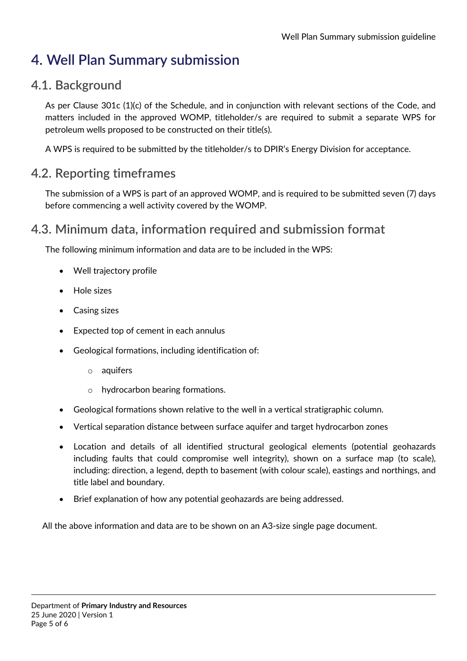# <span id="page-4-0"></span>**4. Well Plan Summary submission**

#### <span id="page-4-1"></span>**4.1. Background**

As per Clause 301c (1)(c) of the Schedule, and in conjunction with relevant sections of the Code, and matters included in the approved WOMP, titleholder/s are required to submit a separate WPS for petroleum wells proposed to be constructed on their title(s).

A WPS is required to be submitted by the titleholder/s to DPIR's Energy Division for acceptance.

#### <span id="page-4-2"></span>**4.2. Reporting timeframes**

The submission of a WPS is part of an approved WOMP, and is required to be submitted seven (7) days before commencing a well activity covered by the WOMP.

#### <span id="page-4-3"></span>**4.3. Minimum data, information required and submission format**

The following minimum information and data are to be included in the WPS:

- Well trajectory profile
- Hole sizes
- Casing sizes
- Expected top of cement in each annulus
- Geological formations, including identification of:
	- o aquifers
	- o hydrocarbon bearing formations.
- Geological formations shown relative to the well in a vertical stratigraphic column.
- Vertical separation distance between surface aquifer and target hydrocarbon zones
- Location and details of all identified structural geological elements (potential geohazards including faults that could compromise well integrity), shown on a surface map (to scale), including: direction, a legend, depth to basement (with colour scale), eastings and northings, and title label and boundary.
- Brief explanation of how any potential geohazards are being addressed.

All the above information and data are to be shown on an A3-size single page document.